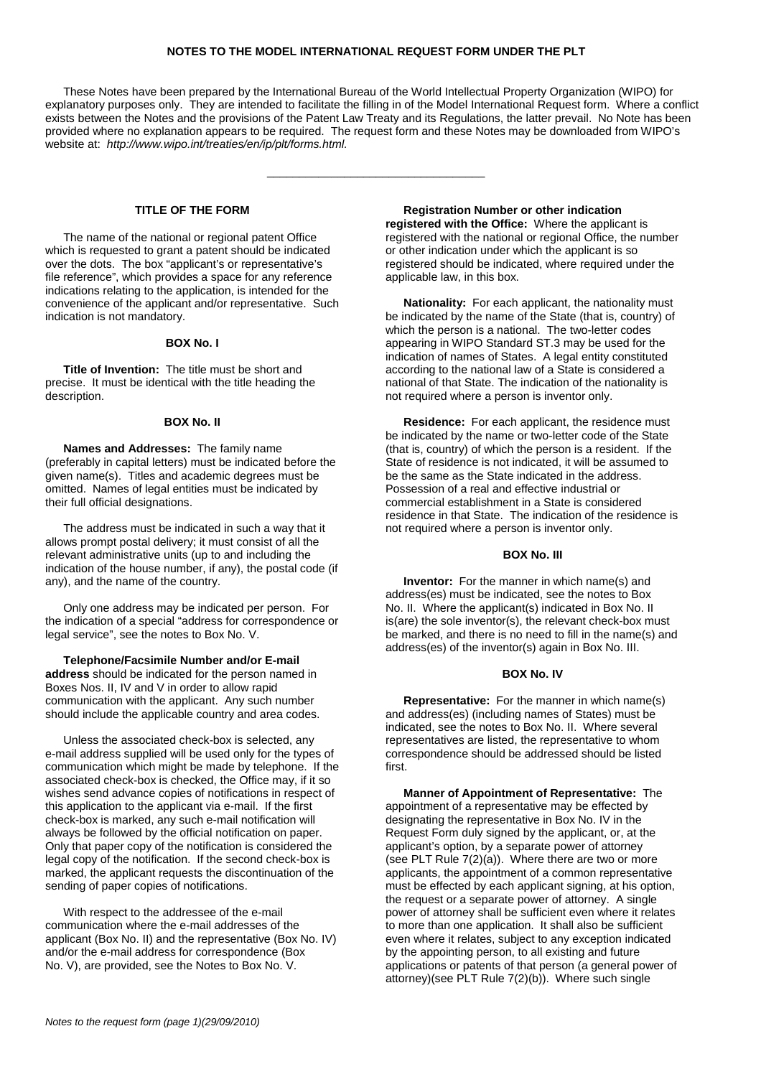# **NOTES TO THE MODEL INTERNATIONAL REQUEST FORM UNDER THE PLT**

These Notes have been prepared by the International Bureau of the World Intellectual Property Organization (WIPO) for explanatory purposes only. They are intended to facilitate the filling in of the Model International Request form. Where a conflict exists between the Notes and the provisions of the Patent Law Treaty and its Regulations, the latter prevail. No Note has been provided where no explanation appears to be required. The request form and these Notes may be downloaded from WIPO's website at: http://www.wipo.int/treaties/en/ip/plt/forms.html.

\_\_\_\_\_\_\_\_\_\_\_\_\_\_\_\_\_\_\_\_\_\_\_\_\_\_\_\_\_\_\_\_\_\_

## **TITLE OF THE FORM**

The name of the national or regional patent Office which is requested to grant a patent should be indicated over the dots. The box "applicant's or representative's file reference", which provides a space for any reference indications relating to the application, is intended for the convenience of the applicant and/or representative. Such indication is not mandatory.

# **BOX No. I**

**Title of Invention:** The title must be short and precise. It must be identical with the title heading the description.

#### **BOX No. II**

**Names and Addresses:** The family name (preferably in capital letters) must be indicated before the given name(s). Titles and academic degrees must be omitted. Names of legal entities must be indicated by their full official designations.

The address must be indicated in such a way that it allows prompt postal delivery; it must consist of all the relevant administrative units (up to and including the indication of the house number, if any), the postal code (if any), and the name of the country.

Only one address may be indicated per person. For the indication of a special "address for correspondence or legal service", see the notes to Box No. V.

**Telephone/Facsimile Number and/or E-mail address** should be indicated for the person named in Boxes Nos. II, IV and V in order to allow rapid communication with the applicant. Any such number should include the applicable country and area codes.

Unless the associated check-box is selected, any e-mail address supplied will be used only for the types of communication which might be made by telephone. If the associated check-box is checked, the Office may, if it so wishes send advance copies of notifications in respect of this application to the applicant via e-mail. If the first check-box is marked, any such e-mail notification will always be followed by the official notification on paper. Only that paper copy of the notification is considered the legal copy of the notification. If the second check-box is marked, the applicant requests the discontinuation of the sending of paper copies of notifications.

With respect to the addressee of the e-mail communication where the e-mail addresses of the applicant (Box No. II) and the representative (Box No. IV) and/or the e-mail address for correspondence (Box No. V), are provided, see the Notes to Box No. V.

**Registration Number or other indication registered with the Office:** Where the applicant is registered with the national or regional Office, the number or other indication under which the applicant is so registered should be indicated, where required under the applicable law, in this box.

**Nationality:** For each applicant, the nationality must be indicated by the name of the State (that is, country) of which the person is a national. The two-letter codes appearing in WIPO Standard ST.3 may be used for the indication of names of States. A legal entity constituted according to the national law of a State is considered a national of that State. The indication of the nationality is not required where a person is inventor only.

**Residence:** For each applicant, the residence must be indicated by the name or two-letter code of the State (that is, country) of which the person is a resident. If the State of residence is not indicated, it will be assumed to be the same as the State indicated in the address. Possession of a real and effective industrial or commercial establishment in a State is considered residence in that State. The indication of the residence is not required where a person is inventor only.

## **BOX No. III**

**Inventor:** For the manner in which name(s) and address(es) must be indicated, see the notes to Box No. II. Where the applicant(s) indicated in Box No. II is(are) the sole inventor(s), the relevant check-box must be marked, and there is no need to fill in the name(s) and address(es) of the inventor(s) again in Box No. III.

#### **BOX No. IV**

**Representative:** For the manner in which name(s) and address(es) (including names of States) must be indicated, see the notes to Box No. II. Where several representatives are listed, the representative to whom correspondence should be addressed should be listed first.

**Manner of Appointment of Representative:** The appointment of a representative may be effected by designating the representative in Box No. IV in the Request Form duly signed by the applicant, or, at the applicant's option, by a separate power of attorney (see PLT Rule 7(2)(a)). Where there are two or more applicants, the appointment of a common representative must be effected by each applicant signing, at his option, the request or a separate power of attorney. A single power of attorney shall be sufficient even where it relates to more than one application. It shall also be sufficient even where it relates, subject to any exception indicated by the appointing person, to all existing and future applications or patents of that person (a general power of attorney)(see PLT Rule 7(2)(b)). Where such single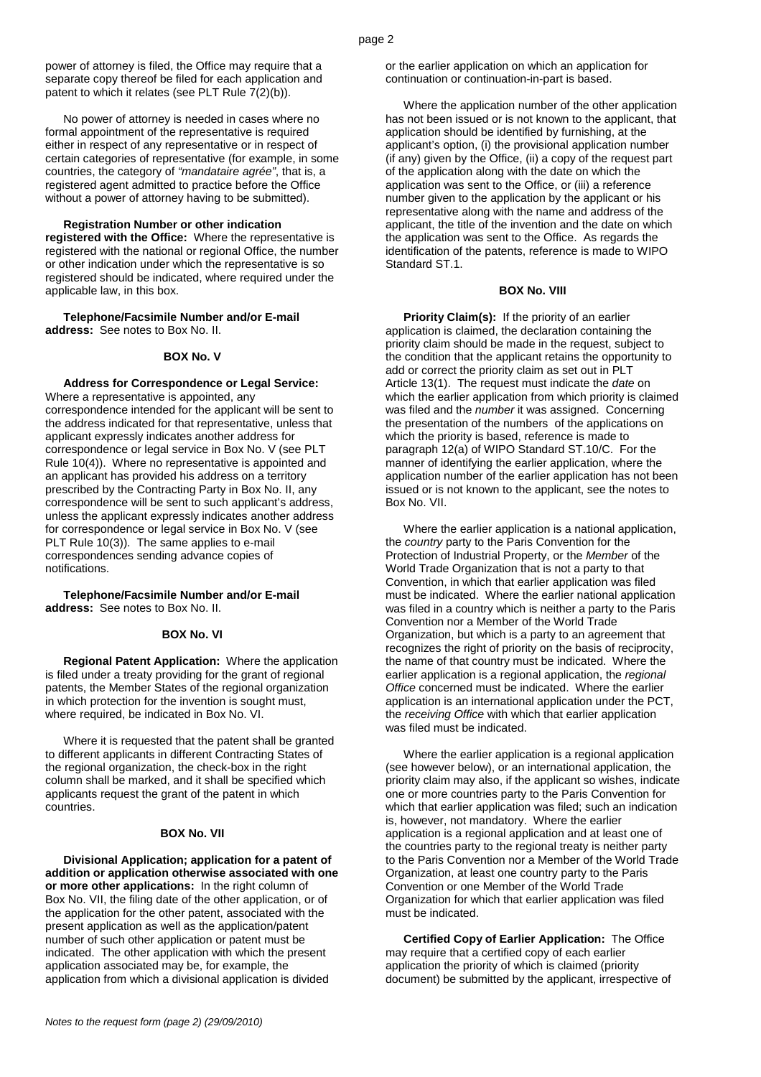power of attorney is filed, the Office may require that a separate copy thereof be filed for each application and patent to which it relates (see PLT Rule 7(2)(b)).

No power of attorney is needed in cases where no formal appointment of the representative is required either in respect of any representative or in respect of certain categories of representative (for example, in some countries, the category of "mandataire agrée", that is, a registered agent admitted to practice before the Office without a power of attorney having to be submitted).

#### **Registration Number or other indication**

**registered with the Office:** Where the representative is registered with the national or regional Office, the number or other indication under which the representative is so registered should be indicated, where required under the applicable law, in this box.

**Telephone/Facsimile Number and/or E-mail address:** See notes to Box No. II.

# **BOX No. V**

**Address for Correspondence or Legal Service:** Where a representative is appointed, any correspondence intended for the applicant will be sent to the address indicated for that representative, unless that applicant expressly indicates another address for correspondence or legal service in Box No. V (see PLT Rule 10(4)). Where no representative is appointed and an applicant has provided his address on a territory prescribed by the Contracting Party in Box No. II, any correspondence will be sent to such applicant's address, unless the applicant expressly indicates another address for correspondence or legal service in Box No. V (see PLT Rule 10(3)). The same applies to e-mail correspondences sending advance copies of notifications.

**Telephone/Facsimile Number and/or E-mail address:** See notes to Box No. II.

#### **BOX No. VI**

**Regional Patent Application:** Where the application is filed under a treaty providing for the grant of regional patents, the Member States of the regional organization in which protection for the invention is sought must, where required, be indicated in Box No. VI.

Where it is requested that the patent shall be granted to different applicants in different Contracting States of the regional organization, the check-box in the right column shall be marked, and it shall be specified which applicants request the grant of the patent in which countries.

## **BOX No. VII**

**Divisional Application; application for a patent of addition or application otherwise associated with one or more other applications:** In the right column of Box No. VII, the filing date of the other application, or of the application for the other patent, associated with the present application as well as the application/patent number of such other application or patent must be indicated. The other application with which the present application associated may be, for example, the application from which a divisional application is divided

or the earlier application on which an application for continuation or continuation-in-part is based.

Where the application number of the other application has not been issued or is not known to the applicant, that application should be identified by furnishing, at the applicant's option, (i) the provisional application number (if any) given by the Office, (ii) a copy of the request part of the application along with the date on which the application was sent to the Office, or (iii) a reference number given to the application by the applicant or his representative along with the name and address of the applicant, the title of the invention and the date on which the application was sent to the Office. As regards the identification of the patents, reference is made to WIPO Standard ST<sub>1</sub>

#### **BOX No. VIII**

**Priority Claim(s):** If the priority of an earlier application is claimed, the declaration containing the priority claim should be made in the request, subject to the condition that the applicant retains the opportunity to add or correct the priority claim as set out in PLT Article 13(1). The request must indicate the date on which the earlier application from which priority is claimed was filed and the *number* it was assigned. Concerning the presentation of the numbers of the applications on which the priority is based, reference is made to paragraph 12(a) of WIPO Standard ST.10/C. For the manner of identifying the earlier application, where the application number of the earlier application has not been issued or is not known to the applicant, see the notes to Box No. VII.

Where the earlier application is a national application, the country party to the Paris Convention for the Protection of Industrial Property, or the Member of the World Trade Organization that is not a party to that Convention, in which that earlier application was filed must be indicated. Where the earlier national application was filed in a country which is neither a party to the Paris Convention nor a Member of the World Trade Organization, but which is a party to an agreement that recognizes the right of priority on the basis of reciprocity, the name of that country must be indicated. Where the earlier application is a regional application, the regional Office concerned must be indicated. Where the earlier application is an international application under the PCT, the receiving Office with which that earlier application was filed must be indicated.

Where the earlier application is a regional application (see however below), or an international application, the priority claim may also, if the applicant so wishes, indicate one or more countries party to the Paris Convention for which that earlier application was filed; such an indication is, however, not mandatory. Where the earlier application is a regional application and at least one of the countries party to the regional treaty is neither party to the Paris Convention nor a Member of the World Trade Organization, at least one country party to the Paris Convention or one Member of the World Trade Organization for which that earlier application was filed must be indicated.

**Certified Copy of Earlier Application:** The Office may require that a certified copy of each earlier application the priority of which is claimed (priority document) be submitted by the applicant, irrespective of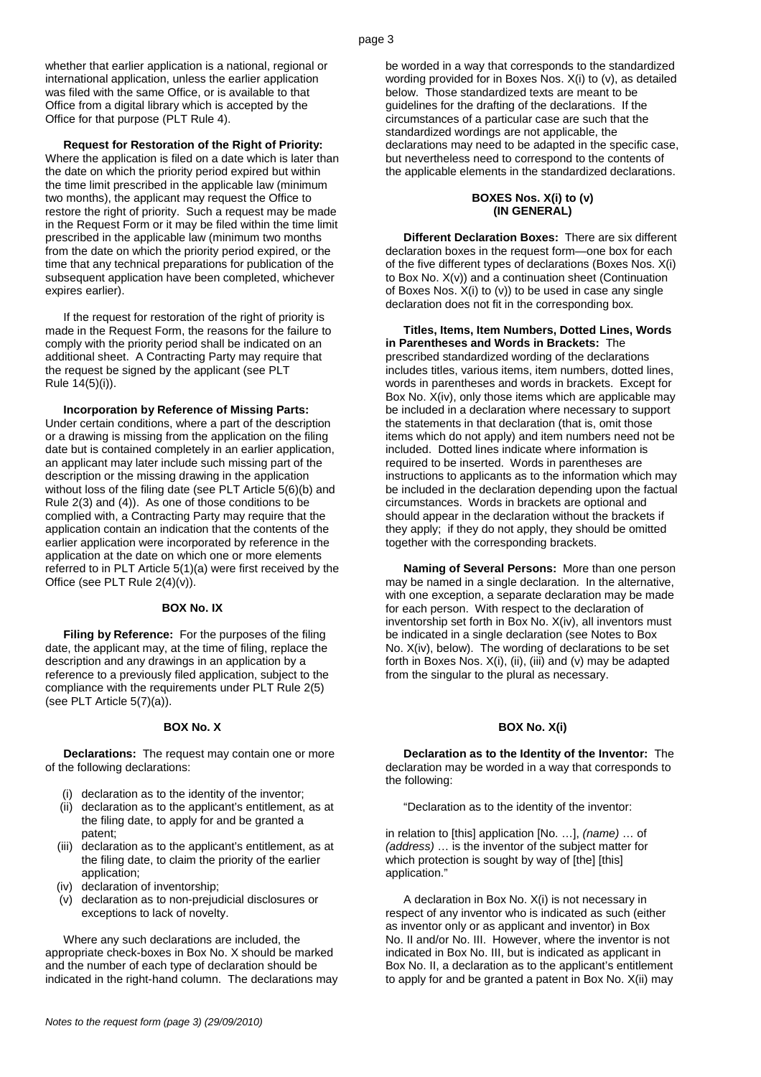whether that earlier application is a national, regional or international application, unless the earlier application was filed with the same Office, or is available to that Office from a digital library which is accepted by the Office for that purpose (PLT Rule 4).

**Request for Restoration of the Right of Priority:** Where the application is filed on a date which is later than the date on which the priority period expired but within the time limit prescribed in the applicable law (minimum two months), the applicant may request the Office to restore the right of priority. Such a request may be made in the Request Form or it may be filed within the time limit prescribed in the applicable law (minimum two months from the date on which the priority period expired, or the time that any technical preparations for publication of the subsequent application have been completed, whichever expires earlier).

If the request for restoration of the right of priority is made in the Request Form, the reasons for the failure to comply with the priority period shall be indicated on an additional sheet. A Contracting Party may require that the request be signed by the applicant (see PLT Rule 14(5)(i)).

#### **Incorporation by Reference of Missing Parts:**

Under certain conditions, where a part of the description or a drawing is missing from the application on the filing date but is contained completely in an earlier application, an applicant may later include such missing part of the description or the missing drawing in the application without loss of the filing date (see PLT Article 5(6)(b) and Rule  $2(3)$  and  $(4)$ ). As one of those conditions to be complied with, a Contracting Party may require that the application contain an indication that the contents of the earlier application were incorporated by reference in the application at the date on which one or more elements referred to in PLT Article 5(1)(a) were first received by the Office (see PLT Rule 2(4)(v)).

## **BOX No. IX**

**Filing by Reference:** For the purposes of the filing date, the applicant may, at the time of filing, replace the description and any drawings in an application by a reference to a previously filed application, subject to the compliance with the requirements under PLT Rule 2(5) (see PLT Article 5(7)(a)).

#### **BOX No. X**

**Declarations:** The request may contain one or more of the following declarations:

- (i) declaration as to the identity of the inventor;
- (ii) declaration as to the applicant's entitlement, as at the filing date, to apply for and be granted a patent;
- (iii) declaration as to the applicant's entitlement, as at the filing date, to claim the priority of the earlier application;
- (iv) declaration of inventorship;
- (v) declaration as to non-prejudicial disclosures or exceptions to lack of novelty.

Where any such declarations are included, the appropriate check-boxes in Box No. X should be marked and the number of each type of declaration should be indicated in the right-hand column. The declarations may be worded in a way that corresponds to the standardized wording provided for in Boxes Nos. X(i) to (v), as detailed below. Those standardized texts are meant to be guidelines for the drafting of the declarations. If the circumstances of a particular case are such that the standardized wordings are not applicable, the declarations may need to be adapted in the specific case, but nevertheless need to correspond to the contents of the applicable elements in the standardized declarations.

## **BOXES Nos. X(i) to (v) (IN GENERAL)**

**Different Declaration Boxes:** There are six different declaration boxes in the request form—one box for each of the five different types of declarations (Boxes Nos. X(i) to Box No. X(v)) and a continuation sheet (Continuation of Boxes Nos. X(i) to (v)) to be used in case any single declaration does not fit in the corresponding box.

**Titles, Items, Item Numbers, Dotted Lines, Words in Parentheses and Words in Brackets:** The prescribed standardized wording of the declarations includes titles, various items, item numbers, dotted lines, words in parentheses and words in brackets. Except for Box No. X(iv), only those items which are applicable may be included in a declaration where necessary to support the statements in that declaration (that is, omit those items which do not apply) and item numbers need not be included. Dotted lines indicate where information is required to be inserted. Words in parentheses are instructions to applicants as to the information which may be included in the declaration depending upon the factual circumstances. Words in brackets are optional and should appear in the declaration without the brackets if they apply; if they do not apply, they should be omitted together with the corresponding brackets.

**Naming of Several Persons:** More than one person may be named in a single declaration. In the alternative, with one exception, a separate declaration may be made for each person. With respect to the declaration of inventorship set forth in Box No. X(iv), all inventors must be indicated in a single declaration (see Notes to Box No. X(iv), below). The wording of declarations to be set forth in Boxes Nos.  $X(i)$ , (ii), (iii) and (v) may be adapted from the singular to the plural as necessary.

## **BOX No. X(i)**

**Declaration as to the Identity of the Inventor:** The declaration may be worded in a way that corresponds to the following:

"Declaration as to the identity of the inventor:

in relation to [this] application [No. …], (name) … of (address) … is the inventor of the subject matter for which protection is sought by way of [the] [this] application."

A declaration in Box No. X(i) is not necessary in respect of any inventor who is indicated as such (either as inventor only or as applicant and inventor) in Box No. II and/or No. III. However, where the inventor is not indicated in Box No. III, but is indicated as applicant in Box No. II, a declaration as to the applicant's entitlement to apply for and be granted a patent in Box No. X(ii) may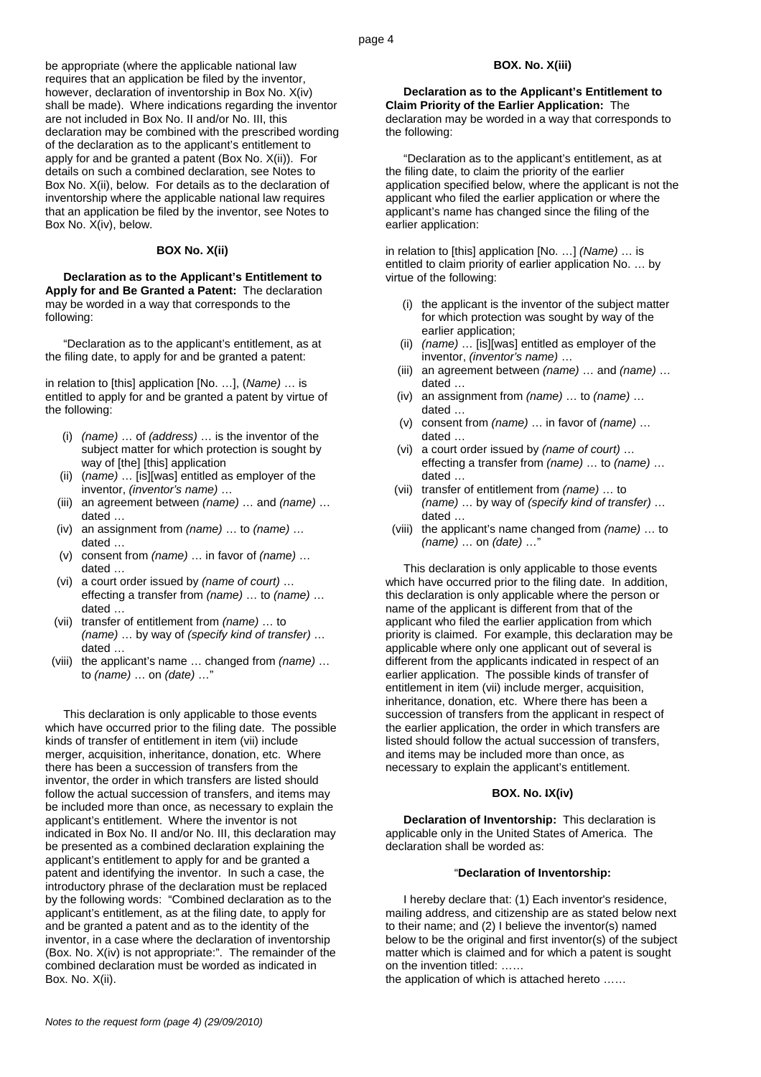be appropriate (where the applicable national law requires that an application be filed by the inventor, however, declaration of inventorship in Box No. X(iv) shall be made). Where indications regarding the inventor are not included in Box No. II and/or No. III, this declaration may be combined with the prescribed wording of the declaration as to the applicant's entitlement to apply for and be granted a patent (Box No. X(ii)). For details on such a combined declaration, see Notes to Box No. X(ii), below. For details as to the declaration of inventorship where the applicable national law requires that an application be filed by the inventor, see Notes to Box No. X(iv), below.

# **BOX No. X(ii)**

**Declaration as to the Applicant's Entitlement to Apply for and Be Granted a Patent:** The declaration may be worded in a way that corresponds to the following:

"Declaration as to the applicant's entitlement, as at the filing date, to apply for and be granted a patent:

in relation to [this] application [No. …], (Name) … is entitled to apply for and be granted a patent by virtue of the following:

- (i) (name) … of (address) … is the inventor of the subject matter for which protection is sought by way of [the] [this] application
- (ii) (name) … [is][was] entitled as employer of the inventor, (inventor's name) …
- (iii) an agreement between (name) … and (name) … dated …
- (iv) an assignment from (name) … to (name) … dated …
- (v) consent from (name) … in favor of (name) … dated …
- (vi) a court order issued by (name of court) … effecting a transfer from (name) … to (name) … dated …
- (vii) transfer of entitlement from (name) … to (name) … by way of (specify kind of transfer) … dated …
- (viii) the applicant's name … changed from (name) … to (name) … on (date) …"

This declaration is only applicable to those events which have occurred prior to the filing date. The possible kinds of transfer of entitlement in item (vii) include merger, acquisition, inheritance, donation, etc. Where there has been a succession of transfers from the inventor, the order in which transfers are listed should follow the actual succession of transfers, and items may be included more than once, as necessary to explain the applicant's entitlement. Where the inventor is not indicated in Box No. II and/or No. III, this declaration may be presented as a combined declaration explaining the applicant's entitlement to apply for and be granted a patent and identifying the inventor. In such a case, the introductory phrase of the declaration must be replaced by the following words: "Combined declaration as to the applicant's entitlement, as at the filing date, to apply for and be granted a patent and as to the identity of the inventor, in a case where the declaration of inventorship (Box. No. X(iv) is not appropriate:". The remainder of the combined declaration must be worded as indicated in Box. No. X(ii).

# **BOX. No. X(iii)**

**Declaration as to the Applicant's Entitlement to Claim Priority of the Earlier Application:** The declaration may be worded in a way that corresponds to the following:

"Declaration as to the applicant's entitlement, as at the filing date, to claim the priority of the earlier application specified below, where the applicant is not the applicant who filed the earlier application or where the applicant's name has changed since the filing of the earlier application:

in relation to [this] application [No. …] (Name) … is entitled to claim priority of earlier application No. … by virtue of the following:

- (i) the applicant is the inventor of the subject matter for which protection was sought by way of the earlier application;
- (ii) (name) … [is][was] entitled as employer of the inventor, (inventor's name) …
- (iii) an agreement between (name) ... and (name) ... dated …
- (iv) an assignment from (name) … to (name) … dated …
- (v) consent from (name) … in favor of (name) … dated …
- (vi) a court order issued by (name of court) … effecting a transfer from (name) … to (name) … dated …
- (vii) transfer of entitlement from (name) … to (name) … by way of (specify kind of transfer) … dated …
- (viii) the applicant's name changed from (name) … to (name) … on (date) …"

This declaration is only applicable to those events which have occurred prior to the filing date. In addition, this declaration is only applicable where the person or name of the applicant is different from that of the applicant who filed the earlier application from which priority is claimed. For example, this declaration may be applicable where only one applicant out of several is different from the applicants indicated in respect of an earlier application. The possible kinds of transfer of entitlement in item (vii) include merger, acquisition, inheritance, donation, etc. Where there has been a succession of transfers from the applicant in respect of the earlier application, the order in which transfers are listed should follow the actual succession of transfers, and items may be included more than once, as necessary to explain the applicant's entitlement.

### **BOX. No. IX(iv)**

**Declaration of Inventorship:** This declaration is applicable only in the United States of America. The declaration shall be worded as:

## "**Declaration of Inventorship:**

I hereby declare that: (1) Each inventor's residence, mailing address, and citizenship are as stated below next to their name; and (2) I believe the inventor(s) named below to be the original and first inventor(s) of the subject matter which is claimed and for which a patent is sought on the invention titled: ……

the application of which is attached hereto ……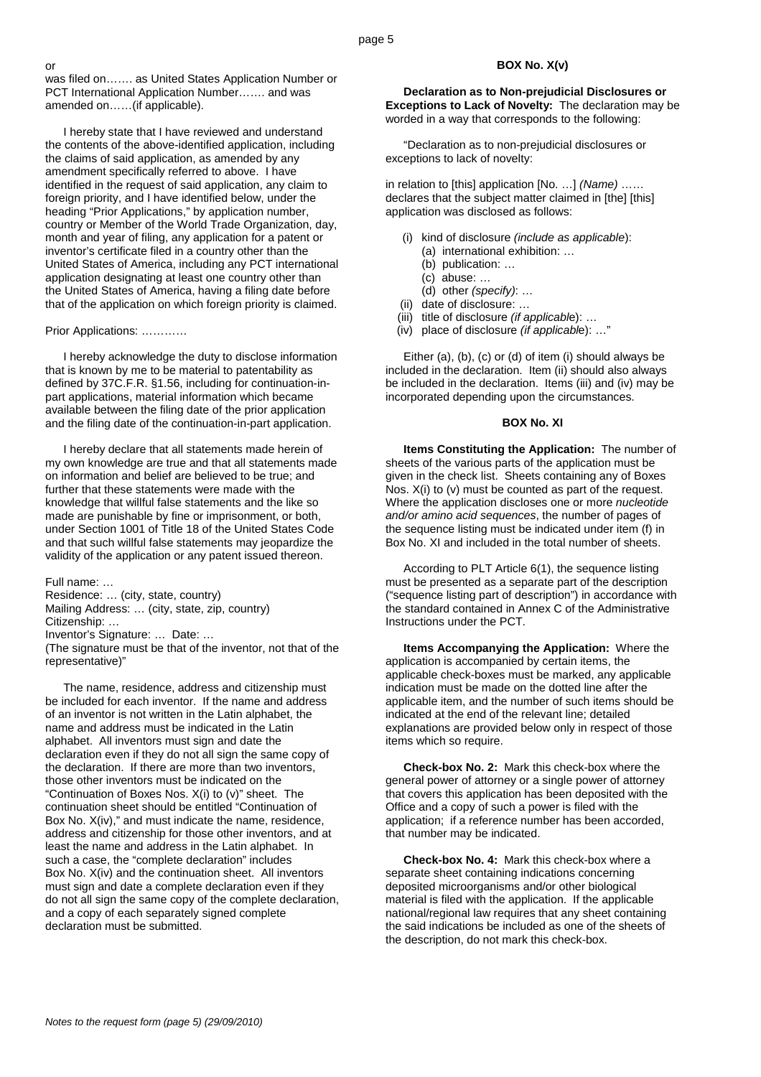was filed on……. as United States Application Number or PCT International Application Number……. and was amended on……(if applicable).

I hereby state that I have reviewed and understand the contents of the above-identified application, including the claims of said application, as amended by any amendment specifically referred to above. I have identified in the request of said application, any claim to foreign priority, and I have identified below, under the heading "Prior Applications," by application number, country or Member of the World Trade Organization, day, month and year of filing, any application for a patent or inventor's certificate filed in a country other than the United States of America, including any PCT international application designating at least one country other than the United States of America, having a filing date before that of the application on which foreign priority is claimed.

# Prior Applications: …………

or

I hereby acknowledge the duty to disclose information that is known by me to be material to patentability as defined by 37C.F.R. §1.56, including for continuation-inpart applications, material information which became available between the filing date of the prior application and the filing date of the continuation-in-part application.

I hereby declare that all statements made herein of my own knowledge are true and that all statements made on information and belief are believed to be true; and further that these statements were made with the knowledge that willful false statements and the like so made are punishable by fine or imprisonment, or both, under Section 1001 of Title 18 of the United States Code and that such willful false statements may jeopardize the validity of the application or any patent issued thereon.

Full name: …

Residence: … (city, state, country) Mailing Address: … (city, state, zip, country) Citizenship: … Inventor's Signature: … Date: … (The signature must be that of the inventor, not that of the representative)"

The name, residence, address and citizenship must be included for each inventor. If the name and address of an inventor is not written in the Latin alphabet, the name and address must be indicated in the Latin alphabet. All inventors must sign and date the declaration even if they do not all sign the same copy of the declaration. If there are more than two inventors, those other inventors must be indicated on the "Continuation of Boxes Nos. X(i) to (v)" sheet. The continuation sheet should be entitled "Continuation of Box No. X(iv)," and must indicate the name, residence, address and citizenship for those other inventors, and at least the name and address in the Latin alphabet. In such a case, the "complete declaration" includes Box No. X(iv) and the continuation sheet. All inventors must sign and date a complete declaration even if they do not all sign the same copy of the complete declaration, and a copy of each separately signed complete declaration must be submitted.

# **BOX No. X(v)**

**Declaration as to Non-prejudicial Disclosures or Exceptions to Lack of Novelty:** The declaration may be worded in a way that corresponds to the following:

"Declaration as to non-prejudicial disclosures or exceptions to lack of novelty:

in relation to [this] application [No. …] (Name) …… declares that the subject matter claimed in [the] [this] application was disclosed as follows:

- (i) kind of disclosure (include as applicable):
	- (a) international exhibition: …
	- (b) publication: …
	- (c) abuse: …
- (d) other (specify): …
- (ii) date of disclosure: …
- $(iii)$  title of disclosure *(if applicable)*: ...
- (iv) place of disclosure (if applicable): …"

Either (a), (b), (c) or (d) of item (i) should always be included in the declaration. Item (ii) should also always be included in the declaration. Items (iii) and (iv) may be incorporated depending upon the circumstances.

### **BOX No. XI**

**Items Constituting the Application:** The number of sheets of the various parts of the application must be given in the check list. Sheets containing any of Boxes Nos. X(i) to (v) must be counted as part of the request. Where the application discloses one or more *nucleotide* and/or amino acid sequences, the number of pages of the sequence listing must be indicated under item (f) in Box No. XI and included in the total number of sheets.

According to PLT Article 6(1), the sequence listing must be presented as a separate part of the description ("sequence listing part of description") in accordance with the standard contained in Annex C of the Administrative Instructions under the PCT.

**Items Accompanying the Application:** Where the application is accompanied by certain items, the applicable check-boxes must be marked, any applicable indication must be made on the dotted line after the applicable item, and the number of such items should be indicated at the end of the relevant line; detailed explanations are provided below only in respect of those items which so require.

**Check-box No. 2:** Mark this check-box where the general power of attorney or a single power of attorney that covers this application has been deposited with the Office and a copy of such a power is filed with the application; if a reference number has been accorded, that number may be indicated.

**Check-box No. 4:** Mark this check-box where a separate sheet containing indications concerning deposited microorganisms and/or other biological material is filed with the application. If the applicable national/regional law requires that any sheet containing the said indications be included as one of the sheets of the description, do not mark this check-box.